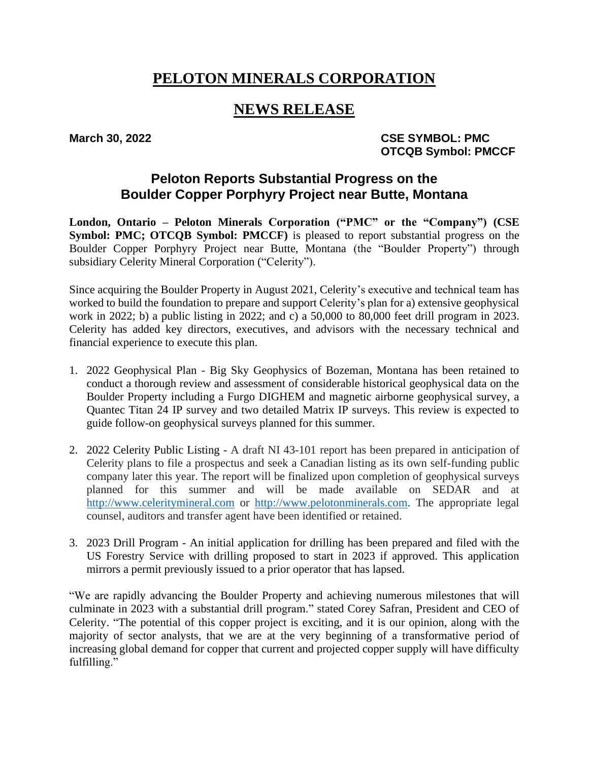# **PELOTON MINERALS CORPORATION**

## **NEWS RELEASE**

### March 30, 2022 **CSE SYMBOL: PMC OTCQB Symbol: PMCCF**

### **Peloton Reports Substantial Progress on the Boulder Copper Porphyry Project near Butte, Montana**

**London, Ontario – Peloton Minerals Corporation ("PMC" or the "Company") (CSE Symbol: PMC; OTCQB Symbol: PMCCF**) is pleased to report substantial progress on the Boulder Copper Porphyry Project near Butte, Montana (the "Boulder Property") through subsidiary Celerity Mineral Corporation ("Celerity").

Since acquiring the Boulder Property in August 2021, Celerity's executive and technical team has worked to build the foundation to prepare and support Celerity's plan for a) extensive geophysical work in 2022; b) a public listing in 2022; and c) a 50,000 to 80,000 feet drill program in 2023. Celerity has added key directors, executives, and advisors with the necessary technical and financial experience to execute this plan.

- 1. 2022 Geophysical Plan Big Sky Geophysics of Bozeman, Montana has been retained to conduct a thorough review and assessment of considerable historical geophysical data on the Boulder Property including a Furgo DIGHEM and magnetic airborne geophysical survey, a Quantec Titan 24 IP survey and two detailed Matrix IP surveys. This review is expected to guide follow-on geophysical surveys planned for this summer.
- 2. 2022 Celerity Public Listing A draft NI 43-101 report has been prepared in anticipation of Celerity plans to file a prospectus and seek a Canadian listing as its own self-funding public company later this year. The report will be finalized upon completion of geophysical surveys planned for this summer and will be made available on SEDAR and at [http://www.celeritymineral.com](http://www.celeritymineral.com/) or [http://www.pelotonminerals.com.](http://www.pelotonminerals.com/) The appropriate legal counsel, auditors and transfer agent have been identified or retained.
- 3. 2023 Drill Program An initial application for drilling has been prepared and filed with the US Forestry Service with drilling proposed to start in 2023 if approved. This application mirrors a permit previously issued to a prior operator that has lapsed.

"We are rapidly advancing the Boulder Property and achieving numerous milestones that will culminate in 2023 with a substantial drill program." stated Corey Safran, President and CEO of Celerity. "The potential of this copper project is exciting, and it is our opinion, along with the majority of sector analysts, that we are at the very beginning of a transformative period of increasing global demand for copper that current and projected copper supply will have difficulty fulfilling."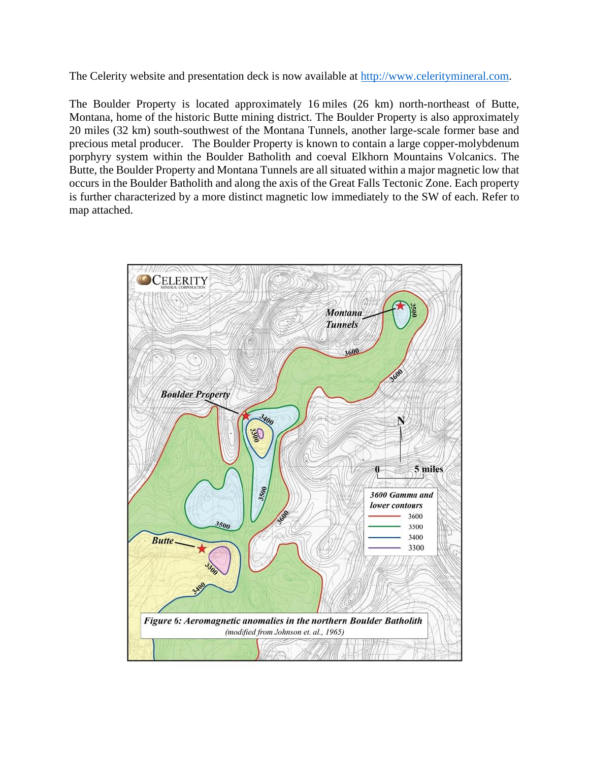The Celerity website and presentation deck is now available at [http://www.celeritymineral.com.](http://www.celeritymineral.com/)

The Boulder Property is located approximately 16 miles (26 km) north-northeast of Butte, Montana, home of the historic Butte mining district. The Boulder Property is also approximately 20 miles (32 km) south-southwest of the Montana Tunnels, another large-scale former base and precious metal producer. The Boulder Property is known to contain a large copper-molybdenum porphyry system within the Boulder Batholith and coeval Elkhorn Mountains Volcanics. The Butte, the Boulder Property and Montana Tunnels are all situated within a major magnetic low that occurs in the Boulder Batholith and along the axis of the Great Falls Tectonic Zone. Each property is further characterized by a more distinct magnetic low immediately to the SW of each. Refer to map attached.